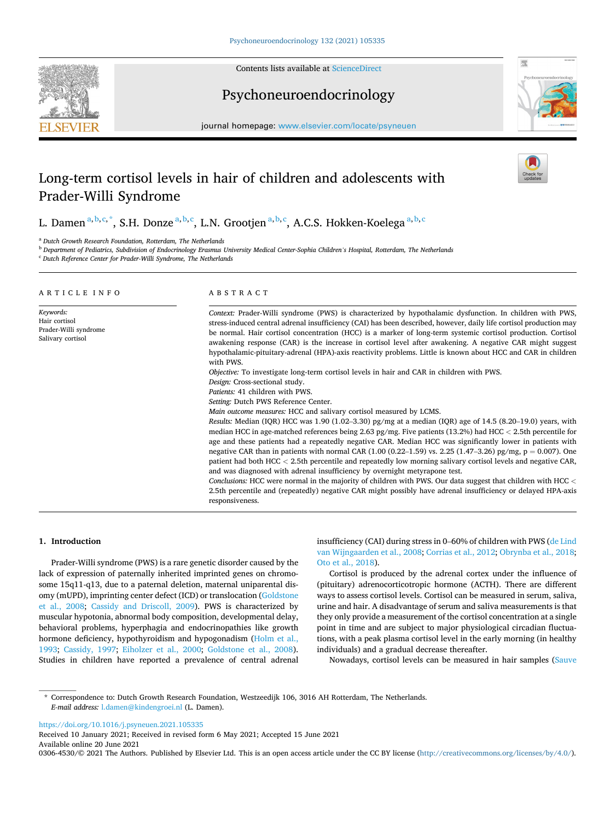

Contents lists available at [ScienceDirect](www.sciencedirect.com/science/journal/03064530)

# Psychoneuroendocrinology



journal homepage: [www.elsevier.com/locate/psyneuen](https://www.elsevier.com/locate/psyneuen) 

# Long-term cortisol levels in hair of children and adolescents with Prader-Willi Syndrome

L. Damen  $\mathrm{^{a,b,c,*}}$ , S.H. Donze  $\mathrm{^{a,b,c}}$ , L.N. Grootjen  $\mathrm{^{a,b,c}}$ , A.C.S. Hokken-Koelega  $\mathrm{^{a,b,c}}$ 

<sup>a</sup> *Dutch Growth Research Foundation, Rotterdam, The Netherlands* 

<sup>b</sup> *Department of Pediatrics, Subdivision of Endocrinology Erasmus University Medical Center-Sophia Children's Hospital, Rotterdam, The Netherlands* 

<sup>c</sup> *Dutch Reference Center for Prader-Willi Syndrome, The Netherlands* 

| ARTICLE INFO                                                             | ABSTRACT                                                                                                                                                                                                                                                                                                                                                                                                                                                                                                                                                                                                                                                                                                                                                                                                                                                                                                                                                                                                                                                                                                                                                                                                                                                                                                                                                                                                                                                                                                                                                                                                                                                                                                                                                                              |  |  |
|--------------------------------------------------------------------------|---------------------------------------------------------------------------------------------------------------------------------------------------------------------------------------------------------------------------------------------------------------------------------------------------------------------------------------------------------------------------------------------------------------------------------------------------------------------------------------------------------------------------------------------------------------------------------------------------------------------------------------------------------------------------------------------------------------------------------------------------------------------------------------------------------------------------------------------------------------------------------------------------------------------------------------------------------------------------------------------------------------------------------------------------------------------------------------------------------------------------------------------------------------------------------------------------------------------------------------------------------------------------------------------------------------------------------------------------------------------------------------------------------------------------------------------------------------------------------------------------------------------------------------------------------------------------------------------------------------------------------------------------------------------------------------------------------------------------------------------------------------------------------------|--|--|
| Keywords:<br>Hair cortisol<br>Prader-Willi syndrome<br>Salivary cortisol | Context: Prader-Willi syndrome (PWS) is characterized by hypothalamic dysfunction. In children with PWS,<br>stress-induced central adrenal insufficiency (CAI) has been described, however, daily life cortisol production may<br>be normal. Hair cortisol concentration (HCC) is a marker of long-term systemic cortisol production. Cortisol<br>awakening response (CAR) is the increase in cortisol level after awakening. A negative CAR might suggest<br>hypothalamic-pituitary-adrenal (HPA)-axis reactivity problems. Little is known about HCC and CAR in children<br>with PWS.<br>Objective: To investigate long-term cortisol levels in hair and CAR in children with PWS.<br>Design: Cross-sectional study.<br>Patients: 41 children with PWS.<br>Setting: Dutch PWS Reference Center.<br>Main outcome measures: HCC and salivary cortisol measured by LCMS.<br>Results: Median (IQR) HCC was 1.90 (1.02–3.30) pg/mg at a median (IQR) age of 14.5 (8.20–19.0) years, with<br>median HCC in age-matched references being 2.63 pg/mg. Five patients (13.2%) had HCC < 2.5th percentile for<br>age and these patients had a repeatedly negative CAR. Median HCC was significantly lower in patients with<br>negative CAR than in patients with normal CAR (1.00 (0.22–1.59) vs. 2.25 (1.47–3.26) pg/mg, $p = 0.007$ ). One<br>patient had both HCC < 2.5th percentile and repeatedly low morning salivary cortisol levels and negative CAR,<br>and was diagnosed with adrenal insufficiency by overnight metyrapone test.<br>Conclusions: HCC were normal in the majority of children with PWS. Our data suggest that children with HCC <<br>2.5th percentile and (repeatedly) negative CAR might possibly have adrenal insufficiency or delayed HPA-axis<br>responsiveness. |  |  |

# **1. Introduction**

Prader-Willi syndrome (PWS) is a rare genetic disorder caused by the lack of expression of paternally inherited imprinted genes on chromosome 15q11-q13, due to a paternal deletion, maternal uniparental disomy (mUPD), imprinting center defect (ICD) or translocation [\(Goldstone](#page-5-0)  [et al., 2008;](#page-5-0) [Cassidy and Driscoll, 2009](#page-5-0)). PWS is characterized by muscular hypotonia, abnormal body composition, developmental delay, behavioral problems, hyperphagia and endocrinopathies like growth hormone deficiency, hypothyroidism and hypogonadism ([Holm et al.,](#page-5-0)  [1993;](#page-5-0) [Cassidy, 1997](#page-5-0); [Eiholzer et al., 2000;](#page-5-0) [Goldstone et al., 2008](#page-5-0)). Studies in children have reported a prevalence of central adrenal insufficiency (CAI) during stress in 0–60% of children with PWS ([de Lind](#page-5-0)  [van Wijngaarden et al., 2008; Corrias et al., 2012](#page-5-0); [Obrynba et al., 2018](#page-5-0); [Oto et al., 2018](#page-5-0)).

Cortisol is produced by the adrenal cortex under the influence of (pituitary) adrenocorticotropic hormone (ACTH). There are different ways to assess cortisol levels. Cortisol can be measured in serum, saliva, urine and hair. A disadvantage of serum and saliva measurements is that they only provide a measurement of the cortisol concentration at a single point in time and are subject to major physiological circadian fluctuations, with a peak plasma cortisol level in the early morning (in healthy individuals) and a gradual decrease thereafter.

Nowadays, cortisol levels can be measured in hair samples ([Sauve](#page-5-0) 

\* Correspondence to: Dutch Growth Research Foundation, Westzeedijk 106, 3016 AH Rotterdam, The Netherlands. *E-mail address:* [l.damen@kindengroei.nl](mailto:l.damen@kindengroei.nl) (L. Damen).

<https://doi.org/10.1016/j.psyneuen.2021.105335>

Available online 20 June 2021 Received 10 January 2021; Received in revised form 6 May 2021; Accepted 15 June 2021

0306-4530/© 2021 The Authors. Published by Elsevier Ltd. This is an open access article under the CC BY license [\(http://creativecommons.org/licenses/by/4.0/\)](http://creativecommons.org/licenses/by/4.0/).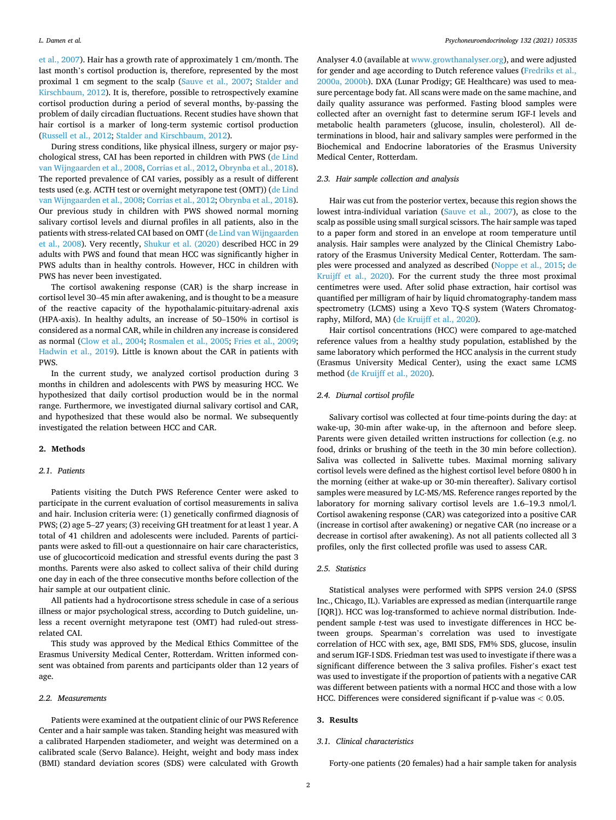[et al., 2007](#page-5-0)). Hair has a growth rate of approximately 1 cm/month. The last month's cortisol production is, therefore, represented by the most proximal 1 cm segment to the scalp ([Sauve et al., 2007;](#page-5-0) [Stalder and](#page-5-0)  [Kirschbaum, 2012](#page-5-0)). It is, therefore, possible to retrospectively examine cortisol production during a period of several months, by-passing the problem of daily circadian fluctuations. Recent studies have shown that hair cortisol is a marker of long-term systemic cortisol production ([Russell et al., 2012;](#page-5-0) [Stalder and Kirschbaum, 2012\)](#page-5-0).

During stress conditions, like physical illness, surgery or major psychological stress, CAI has been reported in children with PWS [\(de Lind](#page-5-0)  [van Wijngaarden et al., 2008](#page-5-0), [Corrias et al., 2012](#page-5-0), [Obrynba et al., 2018](#page-5-0)). The reported prevalence of CAI varies, possibly as a result of different tests used (e.g. ACTH test or overnight metyrapone test (OMT)) ([de Lind](#page-5-0)  [van Wijngaarden et al., 2008](#page-5-0); [Corrias et al., 2012](#page-5-0); [Obrynba et al., 2018](#page-5-0)). Our previous study in children with PWS showed normal morning salivary cortisol levels and diurnal profiles in all patients, also in the patients with stress-related CAI based on OMT ([de Lind van Wijngaarden](#page-5-0)  [et al., 2008\)](#page-5-0). Very recently, [Shukur et al. \(2020\)](#page-5-0) described HCC in 29 adults with PWS and found that mean HCC was significantly higher in PWS adults than in healthy controls. However, HCC in children with PWS has never been investigated.

The cortisol awakening response (CAR) is the sharp increase in cortisol level 30–45 min after awakening, and is thought to be a measure of the reactive capacity of the hypothalamic-pituitary-adrenal axis (HPA-axis). In healthy adults, an increase of 50–150% in cortisol is considered as a normal CAR, while in children any increase is considered as normal [\(Clow et al., 2004](#page-5-0); [Rosmalen et al., 2005; Fries et al., 2009](#page-5-0); [Hadwin et al., 2019](#page-5-0)). Little is known about the CAR in patients with PWS.

In the current study, we analyzed cortisol production during 3 months in children and adolescents with PWS by measuring HCC. We hypothesized that daily cortisol production would be in the normal range. Furthermore, we investigated diurnal salivary cortisol and CAR, and hypothesized that these would also be normal. We subsequently investigated the relation between HCC and CAR.

#### **2. Methods**

# *2.1. Patients*

Patients visiting the Dutch PWS Reference Center were asked to participate in the current evaluation of cortisol measurements in saliva and hair. Inclusion criteria were: (1) genetically confirmed diagnosis of PWS; (2) age 5–27 years; (3) receiving GH treatment for at least 1 year. A total of 41 children and adolescents were included. Parents of participants were asked to fill-out a questionnaire on hair care characteristics, use of glucocorticoid medication and stressful events during the past 3 months. Parents were also asked to collect saliva of their child during one day in each of the three consecutive months before collection of the hair sample at our outpatient clinic.

All patients had a hydrocortisone stress schedule in case of a serious illness or major psychological stress, according to Dutch guideline, unless a recent overnight metyrapone test (OMT) had ruled-out stressrelated CAI.

This study was approved by the Medical Ethics Committee of the Erasmus University Medical Center, Rotterdam. Written informed consent was obtained from parents and participants older than 12 years of age.

#### *2.2. Measurements*

Patients were examined at the outpatient clinic of our PWS Reference Center and a hair sample was taken. Standing height was measured with a calibrated Harpenden stadiometer, and weight was determined on a calibrated scale (Servo Balance). Height, weight and body mass index (BMI) standard deviation scores (SDS) were calculated with Growth

Analyser 4.0 (available at [www.growthanalyser.org\)](http://www.growthanalyser.org), and were adjusted for gender and age according to Dutch reference values ([Fredriks et al.,](#page-5-0)  [2000a, 2000b\)](#page-5-0). DXA (Lunar Prodigy; GE Healthcare) was used to measure percentage body fat. All scans were made on the same machine, and daily quality assurance was performed. Fasting blood samples were collected after an overnight fast to determine serum IGF-I levels and metabolic health parameters (glucose, insulin, cholesterol). All determinations in blood, hair and salivary samples were performed in the Biochemical and Endocrine laboratories of the Erasmus University Medical Center, Rotterdam.

# *2.3. Hair sample collection and analysis*

Hair was cut from the posterior vertex, because this region shows the lowest intra-individual variation ([Sauve et al., 2007\)](#page-5-0), as close to the scalp as possible using small surgical scissors. The hair sample was taped to a paper form and stored in an envelope at room temperature until analysis. Hair samples were analyzed by the Clinical Chemistry Laboratory of the Erasmus University Medical Center, Rotterdam. The samples were processed and analyzed as described [\(Noppe et al., 2015](#page-5-0); [de](#page-5-0)  [Kruijff et al., 2020](#page-5-0)). For the current study the three most proximal centimetres were used. After solid phase extraction, hair cortisol was quantified per milligram of hair by liquid chromatography-tandem mass spectrometry (LCMS) using a Xevo TQ-S system (Waters Chromatography, Milford, MA) [\(de Kruijff et al., 2020](#page-5-0)).

Hair cortisol concentrations (HCC) were compared to age-matched reference values from a healthy study population, established by the same laboratory which performed the HCC analysis in the current study (Erasmus University Medical Center), using the exact same LCMS method ([de Kruijff et al., 2020\)](#page-5-0).

#### *2.4. Diurnal cortisol profile*

Salivary cortisol was collected at four time-points during the day: at wake-up, 30-min after wake-up, in the afternoon and before sleep. Parents were given detailed written instructions for collection (e.g. no food, drinks or brushing of the teeth in the 30 min before collection). Saliva was collected in Salivette tubes. Maximal morning salivary cortisol levels were defined as the highest cortisol level before 0800 h in the morning (either at wake-up or 30-min thereafter). Salivary cortisol samples were measured by LC-MS/MS. Reference ranges reported by the laboratory for morning salivary cortisol levels are 1.6–19.3 nmol/l. Cortisol awakening response (CAR) was categorized into a positive CAR (increase in cortisol after awakening) or negative CAR (no increase or a decrease in cortisol after awakening). As not all patients collected all 3 profiles, only the first collected profile was used to assess CAR.

# *2.5. Statistics*

Statistical analyses were performed with SPPS version 24.0 (SPSS Inc., Chicago, IL). Variables are expressed as median (interquartile range [IQR]). HCC was log-transformed to achieve normal distribution. Independent sample *t*-test was used to investigate differences in HCC between groups. Spearman's correlation was used to investigate correlation of HCC with sex, age, BMI SDS, FM% SDS, glucose, insulin and serum IGF-I SDS. Friedman test was used to investigate if there was a significant difference between the 3 saliva profiles. Fisher's exact test was used to investigate if the proportion of patients with a negative CAR was different between patients with a normal HCC and those with a low HCC. Differences were considered significant if p-value was *<* 0.05.

# **3. Results**

# *3.1. Clinical characteristics*

Forty-one patients (20 females) had a hair sample taken for analysis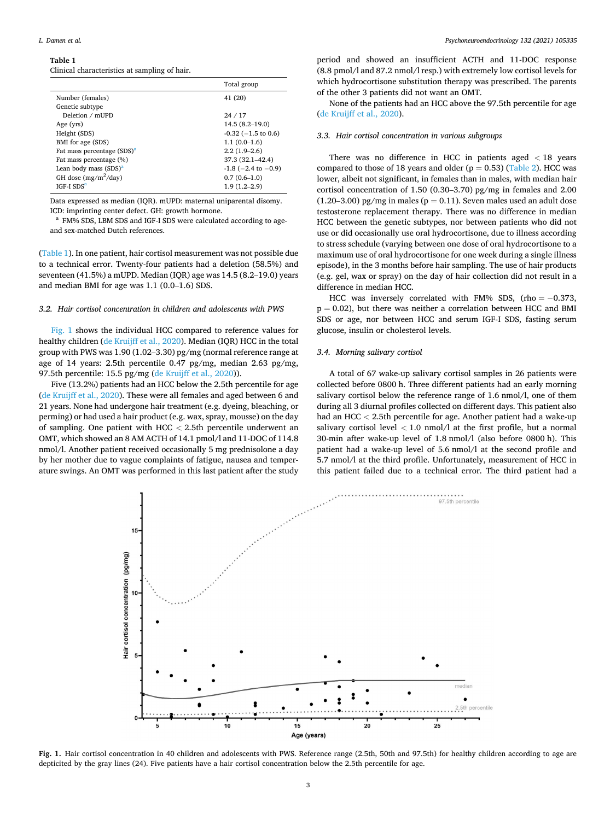#### *L. Damen et al.*

### **Table 1**

| Clinical characteristics at sampling of hair. |  |
|-----------------------------------------------|--|
|-----------------------------------------------|--|

|                                        | Total group                 |
|----------------------------------------|-----------------------------|
| Number (females)                       | 41 (20)                     |
| Genetic subtype                        |                             |
| Deletion / mUPD                        | 24/17                       |
| Age (yrs)                              | $14.5(8.2 - 19.0)$          |
| Height (SDS)                           | $-0.32$ ( $-1.5$ to 0.6)    |
| BMI for age (SDS)                      | $1.1(0.0-1.6)$              |
| Fat mass percentage (SDS) <sup>a</sup> | $2.2(1.9-2.6)$              |
| Fat mass percentage (%)                | 37.3 (32.1–42.4)            |
| Lean body mass $(SDS)^a$               | $-1.8$ ( $-2.4$ to $-0.9$ ) |
| GH dose $(mg/m^2/day)$                 | $0.7(0.6-1.0)$              |
| <b>IGF-I SDS<sup>a</sup></b>           | $1.9(1.2-2.9)$              |

Data expressed as median (IQR). mUPD: maternal uniparental disomy.

ICD: imprinting center defect. GH: growth hormone.<br><sup>a</sup> FM% SDS, LBM SDS and IGF-I SDS were calculated according to ageand sex-matched Dutch references.

(Table 1). In one patient, hair cortisol measurement was not possible due to a technical error. Twenty-four patients had a deletion (58.5%) and seventeen (41.5%) a mUPD. Median (IQR) age was 14.5 (8.2–19.0) years and median BMI for age was 1.1 (0.0–1.6) SDS.

# *3.2. Hair cortisol concentration in children and adolescents with PWS*

Fig. 1 shows the individual HCC compared to reference values for healthy children [\(de Kruijff et al., 2020\)](#page-5-0). Median (IQR) HCC in the total group with PWS was 1.90 (1.02–3.30) pg/mg (normal reference range at age of 14 years: 2.5th percentile 0.47 pg/mg, median 2.63 pg/mg, 97.5th percentile: 15.5 pg/mg ([de Kruijff et al., 2020\)](#page-5-0)).

Five (13.2%) patients had an HCC below the 2.5th percentile for age ([de Kruijff et al., 2020](#page-5-0)). These were all females and aged between 6 and 21 years. None had undergone hair treatment (e.g. dyeing, bleaching, or perming) or had used a hair product (e.g. wax, spray, mousse) on the day of sampling. One patient with HCC *<* 2.5th percentile underwent an OMT, which showed an 8 AM ACTH of 14.1 pmol/l and 11-DOC of 114.8 nmol/l. Another patient received occasionally 5 mg prednisolone a day by her mother due to vague complaints of fatigue, nausea and temperature swings. An OMT was performed in this last patient after the study

period and showed an insufficient ACTH and 11-DOC response (8.8 pmol/l and 87.2 nmol/l resp.) with extremely low cortisol levels for which hydrocortisone substitution therapy was prescribed. The parents of the other 3 patients did not want an OMT.

None of the patients had an HCC above the 97.5th percentile for age ([de Kruijff et al., 2020\)](#page-5-0).

#### *3.3. Hair cortisol concentration in various subgroups*

There was no difference in HCC in patients aged *<* 18 years compared to those of 18 years and older ( $p = 0.53$ ) [\(Table 2\)](#page-3-0). HCC was lower, albeit not significant, in females than in males, with median hair cortisol concentration of 1.50 (0.30–3.70) pg/mg in females and 2.00  $(1.20-3.00)$  pg/mg in males ( $p = 0.11$ ). Seven males used an adult dose testosterone replacement therapy. There was no difference in median HCC between the genetic subtypes, nor between patients who did not use or did occasionally use oral hydrocortisone, due to illness according to stress schedule (varying between one dose of oral hydrocortisone to a maximum use of oral hydrocortisone for one week during a single illness episode), in the 3 months before hair sampling. The use of hair products (e.g. gel, wax or spray) on the day of hair collection did not result in a difference in median HCC.

HCC was inversely correlated with FM% SDS, (rho =  $-0.373$ ,  $p = 0.02$ ), but there was neither a correlation between HCC and BMI SDS or age, nor between HCC and serum IGF-I SDS, fasting serum glucose, insulin or cholesterol levels.

#### *3.4. Morning salivary cortisol*

A total of 67 wake-up salivary cortisol samples in 26 patients were collected before 0800 h. Three different patients had an early morning salivary cortisol below the reference range of 1.6 nmol/l, one of them during all 3 diurnal profiles collected on different days. This patient also had an HCC *<* 2.5th percentile for age. Another patient had a wake-up salivary cortisol level *<* 1.0 nmol/l at the first profile, but a normal 30-min after wake-up level of 1.8 nmol/l (also before 0800 h). This patient had a wake-up level of 5.6 nmol/l at the second profile and 5.7 nmol/l at the third profile. Unfortunately, measurement of HCC in this patient failed due to a technical error. The third patient had a



**Fig. 1.** Hair cortisol concentration in 40 children and adolescents with PWS. Reference range (2.5th, 50th and 97.5th) for healthy children according to age are depticited by the gray lines (24). Five patients have a hair cortisol concentration below the 2.5th percentile for age.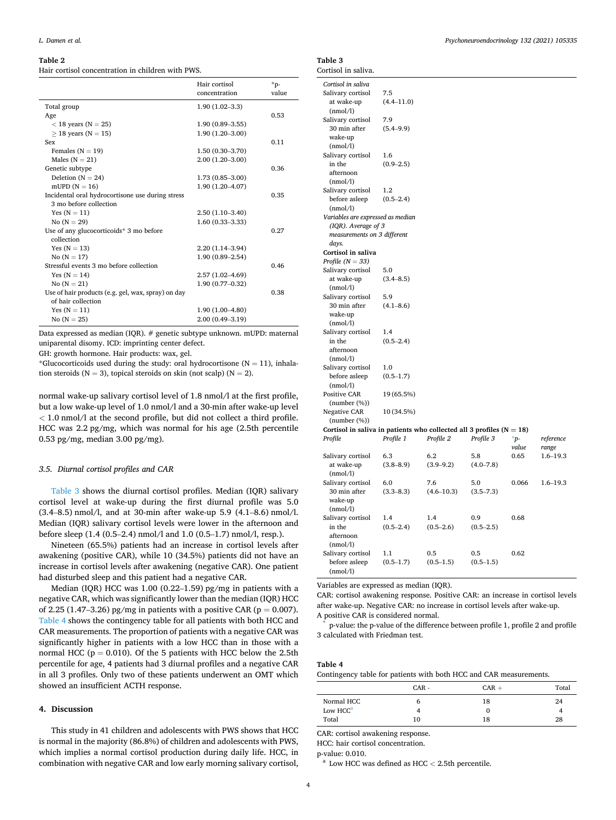#### <span id="page-3-0"></span>**Table 2**

Hair cortisol concentration in children with PWS.

|                                                    | Hair cortisol<br>concentration | *p-<br>value |
|----------------------------------------------------|--------------------------------|--------------|
| Total group                                        | $1.90(1.02 - 3.3)$             |              |
| Age                                                |                                | 0.53         |
| $<$ 18 years (N = 25)                              | $1.90(0.89 - 3.55)$            |              |
| $\geq$ 18 years (N = 15)                           | $1.90(1.20-3.00)$              |              |
| <b>Sex</b>                                         |                                | 0.11         |
| Females $(N = 19)$                                 | $1.50(0.30-3.70)$              |              |
| Males $(N = 21)$                                   | $2.00(1.20-3.00)$              |              |
| Genetic subtype                                    |                                | 0.36         |
| Deletion $(N = 24)$                                | $1.73(0.85 - 3.00)$            |              |
| mUPD $(N = 16)$                                    | $1.90(1.20 - 4.07)$            |              |
| Incidental oral hydrocortisone use during stress   |                                | 0.35         |
| 3 mo before collection                             |                                |              |
| Yes $(N = 11)$                                     | $2.50(1.10-3.40)$              |              |
| No $(N = 29)$                                      | $1.60(0.33 - 3.33)$            |              |
| Use of any glucocorticoids* 3 mo before            |                                | 0.27         |
| collection                                         |                                |              |
| Yes $(N = 13)$                                     | $2,20(1.14-3.94)$              |              |
| No $(N = 17)$                                      | $1.90(0.89 - 2.54)$            |              |
| Stressful events 3 mo before collection            |                                | 0.46         |
| Yes $(N = 14)$                                     | $2.57(1.02 - 4.69)$            |              |
| No $(N = 21)$                                      | $1.90(0.77-0.32)$              |              |
| Use of hair products (e.g. gel, wax, spray) on day |                                | 0.38         |
| of hair collection                                 |                                |              |
| Yes $(N = 11)$                                     | $1.90(1.00-4.80)$              |              |
| No $(N = 25)$                                      | $2.00(0.49 - 3.19)$            |              |

Data expressed as median (IQR). # genetic subtype unknown. mUPD: maternal uniparental disomy. ICD: imprinting center defect.

GH: growth hormone. Hair products: wax, gel.

\*Glucocorticoids used during the study: oral hydrocortisone ( $N = 11$ ), inhalation steroids ( $N = 3$ ), topical steroids on skin (not scalp) ( $N = 2$ ).

normal wake-up salivary cortisol level of 1.8 nmol/l at the first profile, but a low wake-up level of 1.0 nmol/l and a 30-min after wake-up level *<* 1.0 nmol/l at the second profile, but did not collect a third profile. HCC was 2.2 pg/mg, which was normal for his age (2.5th percentile 0.53 pg/mg, median 3.00 pg/mg).

# *3.5. Diurnal cortisol profiles and CAR*

Table 3 shows the diurnal cortisol profiles. Median (IQR) salivary cortisol level at wake-up during the first diurnal profile was 5.0 (3.4–8.5) nmol/l, and at 30-min after wake-up 5.9 (4.1–8.6) nmol/l. Median (IQR) salivary cortisol levels were lower in the afternoon and before sleep (1.4 (0.5–2.4) nmol/l and 1.0 (0.5–1.7) nmol/l, resp.).

Nineteen (65.5%) patients had an increase in cortisol levels after awakening (positive CAR), while 10 (34.5%) patients did not have an increase in cortisol levels after awakening (negative CAR). One patient had disturbed sleep and this patient had a negative CAR.

Median (IQR) HCC was 1.00 (0.22–1.59) pg/mg in patients with a negative CAR, which was significantly lower than the median (IQR) HCC of 2.25 (1.47–3.26) pg/mg in patients with a positive CAR ( $p = 0.007$ ). Table 4 shows the contingency table for all patients with both HCC and CAR measurements. The proportion of patients with a negative CAR was significantly higher in patients with a low HCC than in those with a normal HCC ( $p = 0.010$ ). Of the 5 patients with HCC below the 2.5th percentile for age, 4 patients had 3 diurnal profiles and a negative CAR in all 3 profiles. Only two of these patients underwent an OMT which showed an insufficient ACTH response.

# **4. Discussion**

This study in 41 children and adolescents with PWS shows that HCC is normal in the majority (86.8%) of children and adolescents with PWS, which implies a normal cortisol production during daily life. HCC, in combination with negative CAR and low early morning salivary cortisol,

# **Table 3**

| Cortisol in saliva.                                                      |                |                |               |              |              |
|--------------------------------------------------------------------------|----------------|----------------|---------------|--------------|--------------|
| Cortisol in saliva                                                       |                |                |               |              |              |
| Salivary cortisol                                                        | 7.5            |                |               |              |              |
| at wake-up                                                               | $(4.4 - 11.0)$ |                |               |              |              |
| (nmol/l)                                                                 |                |                |               |              |              |
| Salivary cortisol                                                        | 7.9            |                |               |              |              |
| 30 min after                                                             | $(5.4 - 9.9)$  |                |               |              |              |
| wake-up                                                                  |                |                |               |              |              |
| (nmol/l)                                                                 |                |                |               |              |              |
| Salivary cortisol                                                        | 1.6            |                |               |              |              |
| in the                                                                   | $(0.9 - 2.5)$  |                |               |              |              |
| afternoon                                                                |                |                |               |              |              |
| (nmol/l)                                                                 |                |                |               |              |              |
| Salivary cortisol                                                        | 1.2            |                |               |              |              |
| before asleep                                                            | $(0.5 - 2.4)$  |                |               |              |              |
| (nmol/l)                                                                 |                |                |               |              |              |
|                                                                          |                |                |               |              |              |
| Variables are expressed as median                                        |                |                |               |              |              |
| (IQR). Average of 3                                                      |                |                |               |              |              |
| measurements on 3 different                                              |                |                |               |              |              |
| days.                                                                    |                |                |               |              |              |
| Cortisol in saliva                                                       |                |                |               |              |              |
| Profile $(N = 33)$                                                       |                |                |               |              |              |
| Salivary cortisol                                                        | 5.0            |                |               |              |              |
| at wake-up                                                               | $(3.4 - 8.5)$  |                |               |              |              |
| (nmol/l)                                                                 |                |                |               |              |              |
| Salivary cortisol                                                        | 5.9            |                |               |              |              |
| 30 min after                                                             | $(4.1 - 8.6)$  |                |               |              |              |
| wake-up                                                                  |                |                |               |              |              |
| (nmol/l)                                                                 |                |                |               |              |              |
| Salivary cortisol                                                        | 1.4            |                |               |              |              |
| in the                                                                   | $(0.5 - 2.4)$  |                |               |              |              |
| afternoon                                                                |                |                |               |              |              |
| (nmol/l)                                                                 |                |                |               |              |              |
| Salivary cortisol                                                        | 1.0            |                |               |              |              |
| before asleep                                                            | $(0.5 - 1.7)$  |                |               |              |              |
| (nmol/l)                                                                 |                |                |               |              |              |
| <b>Positive CAR</b>                                                      | 19 (65.5%)     |                |               |              |              |
| $(number (\%))$                                                          |                |                |               |              |              |
| <b>Negative CAR</b>                                                      | 10 (34.5%)     |                |               |              |              |
| $(number (\%))$                                                          |                |                |               |              |              |
| Cortisol in saliva in patients who collected all 3 profiles ( $N = 18$ ) |                |                |               |              |              |
| Profile                                                                  | Profile 1      | Profile 2      | Profile 3     | $^{\ast}$ p- | reference    |
|                                                                          |                |                |               | value        | range        |
| Salivary cortisol                                                        | 6.3            | 6.2            | 5.8           | 0.65         | $1.6 - 19.3$ |
| at wake-up                                                               | $(3.8 - 8.9)$  | $(3.9 - 9.2)$  | $(4.0 - 7.8)$ |              |              |
| (nmol/l)                                                                 |                |                |               |              |              |
| Salivary cortisol                                                        | 6.0            | 7.6            | 5.0           | 0.066        | $1.6 - 19.3$ |
| 30 min after                                                             | $(3.3 - 8.3)$  | $(4.6 - 10.3)$ | $(3.5 - 7.3)$ |              |              |
| wake-up                                                                  |                |                |               |              |              |
| (nmol/l)                                                                 |                |                |               |              |              |
| Salivary cortisol                                                        | 1.4            | 1.4            | 0.9           | 0.68         |              |
| in the                                                                   | $(0.5 - 2.4)$  | $(0.5 - 2.6)$  | $(0.5 - 2.5)$ |              |              |
| afternoon                                                                |                |                |               |              |              |
| (nmol/l)                                                                 |                |                |               |              |              |
| Salivary cortisol                                                        | 1.1            | 0.5            | 0.5           | 0.62         |              |
| before asleep                                                            | $(0.5 - 1.7)$  | $(0.5 - 1.5)$  | $(0.5 - 1.5)$ |              |              |
| (nmol/l)                                                                 |                |                |               |              |              |

Variables are expressed as median (IQR).

CAR: cortisol awakening response. Positive CAR: an increase in cortisol levels after wake-up. Negative CAR: no increase in cortisol levels after wake-up.

A positive CAR is considered normal.<br>
\* p-value: the p-value of the difference between profile 1, profile 2 and profile 3 calculated with Friedman test.

# **Table 4**

Contingency table for patients with both HCC and CAR measurements.

|                                    | $CAR -$ | $CAR +$ | Total   |
|------------------------------------|---------|---------|---------|
| Normal HCC<br>Low HCC <sup>a</sup> | n       | 18<br>0 | 24<br>4 |
| Total                              | 10      | 18      | 28      |

CAR: cortisol awakening response.

HCC: hair cortisol concentration.

p-value: 0.010. a Low HCC was defined as HCC *<sup>&</sup>lt;* 2.5th percentile.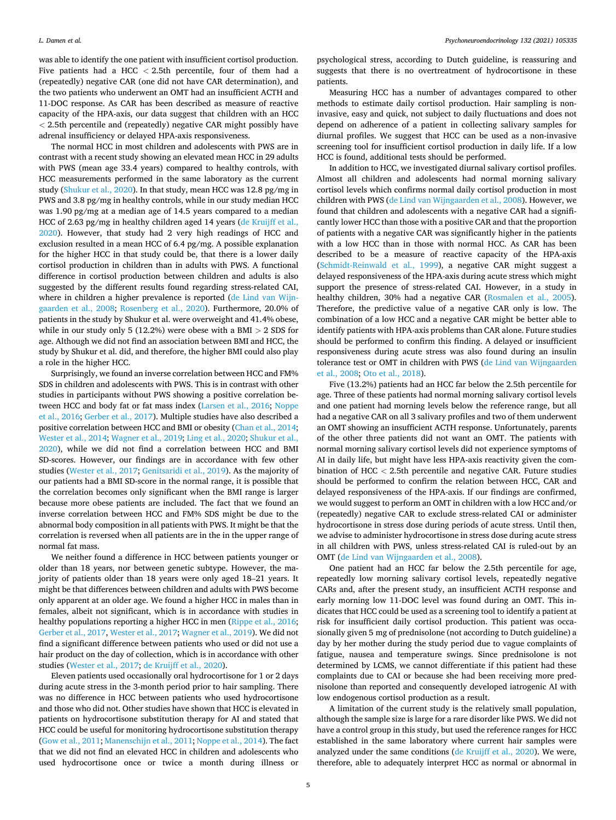was able to identify the one patient with insufficient cortisol production. Five patients had a HCC *<* 2.5th percentile, four of them had a (repeatedly) negative CAR (one did not have CAR determination), and the two patients who underwent an OMT had an insufficient ACTH and 11-DOC response. As CAR has been described as measure of reactive capacity of the HPA-axis, our data suggest that children with an HCC *<* 2.5th percentile and (repeatedly) negative CAR might possibly have adrenal insufficiency or delayed HPA-axis responsiveness.

The normal HCC in most children and adolescents with PWS are in contrast with a recent study showing an elevated mean HCC in 29 adults with PWS (mean age 33.4 years) compared to healthy controls, with HCC measurements performed in the same laboratory as the current study ([Shukur et al., 2020](#page-5-0)). In that study, mean HCC was 12.8 pg/mg in PWS and 3.8 pg/mg in healthy controls, while in our study median HCC was 1.90 pg/mg at a median age of 14.5 years compared to a median HCC of 2.63 pg/mg in healthy children aged 14 years ([de Kruijff et al.,](#page-5-0)  [2020\)](#page-5-0). However, that study had 2 very high readings of HCC and exclusion resulted in a mean HCC of 6.4 pg/mg. A possible explanation for the higher HCC in that study could be, that there is a lower daily cortisol production in children than in adults with PWS. A functional difference in cortisol production between children and adults is also suggested by the different results found regarding stress-related CAI, where in children a higher prevalence is reported [\(de Lind van Wijn](#page-5-0)[gaarden et al., 2008;](#page-5-0) [Rosenberg et al., 2020\)](#page-5-0). Furthermore, 20.0% of patients in the study by Shukur et al. were overweight and 41.4% obese, while in our study only 5 (12.2%) were obese with a BMI *>* 2 SDS for age. Although we did not find an association between BMI and HCC, the study by Shukur et al. did, and therefore, the higher BMI could also play a role in the higher HCC.

Surprisingly, we found an inverse correlation between HCC and FM% SDS in children and adolescents with PWS. This is in contrast with other studies in participants without PWS showing a positive correlation between HCC and body fat or fat mass index ([Larsen et al., 2016;](#page-5-0) [Noppe](#page-5-0)  [et al., 2016](#page-5-0); [Gerber et al., 2017\)](#page-5-0). Multiple studies have also described a positive correlation between HCC and BMI or obesity [\(Chan et al., 2014](#page-5-0); [Wester et al., 2014](#page-6-0); [Wagner et al., 2019](#page-5-0); [Ling et al., 2020; Shukur et al.,](#page-5-0)  [2020\)](#page-5-0), while we did not find a correlation between HCC and BMI SD-scores. However, our findings are in accordance with few other studies [\(Wester et al., 2017](#page-6-0); [Genitsaridi et al., 2019](#page-5-0)). As the majority of our patients had a BMI SD-score in the normal range, it is possible that the correlation becomes only significant when the BMI range is larger because more obese patients are included. The fact that we found an inverse correlation between HCC and FM% SDS might be due to the abnormal body composition in all patients with PWS. It might be that the correlation is reversed when all patients are in the in the upper range of normal fat mass.

We neither found a difference in HCC between patients younger or older than 18 years, nor between genetic subtype. However, the majority of patients older than 18 years were only aged 18–21 years. It might be that differences between children and adults with PWS become only apparent at an older age. We found a higher HCC in males than in females, albeit not significant, which is in accordance with studies in healthy populations reporting a higher HCC in men ([Rippe et al., 2016](#page-5-0); [Gerber et al., 2017,](#page-5-0) [Wester et al., 2017;](#page-6-0) [Wagner et al., 2019\)](#page-5-0). We did not find a significant difference between patients who used or did not use a hair product on the day of collection, which is in accordance with other studies [\(Wester et al., 2017](#page-6-0); [de Kruijff et al., 2020\)](#page-5-0).

Eleven patients used occasionally oral hydrocortisone for 1 or 2 days during acute stress in the 3-month period prior to hair sampling. There was no difference in HCC between patients who used hydrocortisone and those who did not. Other studies have shown that HCC is elevated in patients on hydrocortisone substitution therapy for AI and stated that HCC could be useful for monitoring hydrocortisone substitution therapy ([Gow et al., 2011](#page-5-0); [Manenschijn et al., 2011](#page-5-0); [Noppe et al., 2014\)](#page-5-0). The fact that we did not find an elevated HCC in children and adolescents who used hydrocortisone once or twice a month during illness or

psychological stress, according to Dutch guideline, is reassuring and suggests that there is no overtreatment of hydrocortisone in these patients.

Measuring HCC has a number of advantages compared to other methods to estimate daily cortisol production. Hair sampling is noninvasive, easy and quick, not subject to daily fluctuations and does not depend on adherence of a patient in collecting salivary samples for diurnal profiles. We suggest that HCC can be used as a non-invasive screening tool for insufficient cortisol production in daily life. If a low HCC is found, additional tests should be performed.

In addition to HCC, we investigated diurnal salivary cortisol profiles. Almost all children and adolescents had normal morning salivary cortisol levels which confirms normal daily cortisol production in most children with PWS [\(de Lind van Wijngaarden et al., 2008\)](#page-5-0). However, we found that children and adolescents with a negative CAR had a significantly lower HCC than those with a positive CAR and that the proportion of patients with a negative CAR was significantly higher in the patients with a low HCC than in those with normal HCC. As CAR has been described to be a measure of reactive capacity of the HPA-axis ([Schmidt-Reinwald et al., 1999\)](#page-5-0), a negative CAR might suggest a delayed responsiveness of the HPA-axis during acute stress which might support the presence of stress-related CAI. However, in a study in healthy children, 30% had a negative CAR ([Rosmalen et al., 2005](#page-5-0)). Therefore, the predictive value of a negative CAR only is low. The combination of a low HCC and a negative CAR might be better able to identify patients with HPA-axis problems than CAR alone. Future studies should be performed to confirm this finding. A delayed or insufficient responsiveness during acute stress was also found during an insulin tolerance test or OMT in children with PWS [\(de Lind van Wijngaarden](#page-5-0)  [et al., 2008; Oto et al., 2018\)](#page-5-0).

Five (13.2%) patients had an HCC far below the 2.5th percentile for age. Three of these patients had normal morning salivary cortisol levels and one patient had morning levels below the reference range, but all had a negative CAR on all 3 salivary profiles and two of them underwent an OMT showing an insufficient ACTH response. Unfortunately, parents of the other three patients did not want an OMT. The patients with normal morning salivary cortisol levels did not experience symptoms of AI in daily life, but might have less HPA-axis reactivity given the combination of HCC *<* 2.5th percentile and negative CAR. Future studies should be performed to confirm the relation between HCC, CAR and delayed responsiveness of the HPA-axis. If our findings are confirmed, we would suggest to perform an OMT in children with a low HCC and/or (repeatedly) negative CAR to exclude stress-related CAI or administer hydrocortisone in stress dose during periods of acute stress. Until then, we advise to administer hydrocortisone in stress dose during acute stress in all children with PWS, unless stress-related CAI is ruled-out by an OMT ([de Lind van Wijngaarden et al., 2008](#page-5-0)).

One patient had an HCC far below the 2.5th percentile for age, repeatedly low morning salivary cortisol levels, repeatedly negative CARs and, after the present study, an insufficient ACTH response and early morning low 11-DOC level was found during an OMT. This indicates that HCC could be used as a screening tool to identify a patient at risk for insufficient daily cortisol production. This patient was occasionally given 5 mg of prednisolone (not according to Dutch guideline) a day by her mother during the study period due to vague complaints of fatigue, nausea and temperature swings. Since prednisolone is not determined by LCMS, we cannot differentiate if this patient had these complaints due to CAI or because she had been receiving more prednisolone than reported and consequently developed iatrogenic AI with low endogenous cortisol production as a result.

A limitation of the current study is the relatively small population, although the sample size is large for a rare disorder like PWS. We did not have a control group in this study, but used the reference ranges for HCC established in the same laboratory where current hair samples were analyzed under the same conditions ([de Kruijff et al., 2020\)](#page-5-0). We were, therefore, able to adequately interpret HCC as normal or abnormal in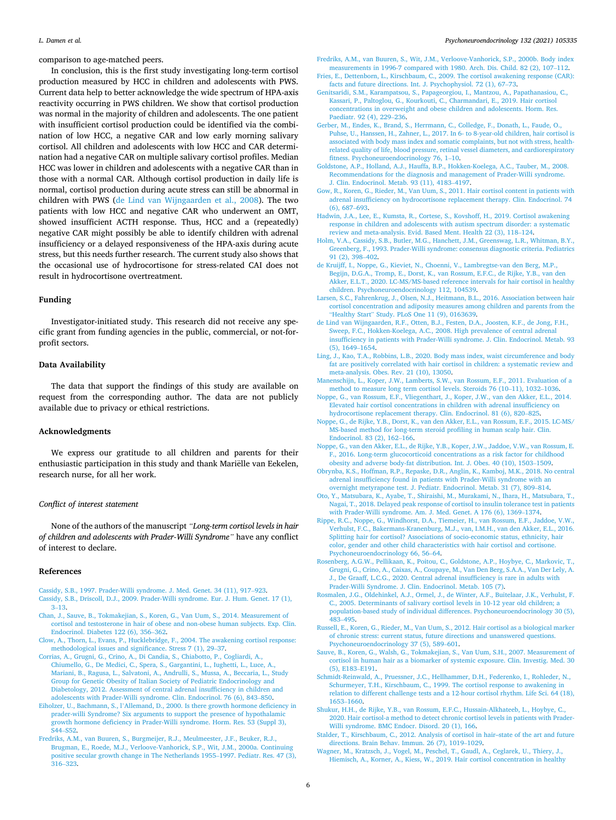<span id="page-5-0"></span>comparison to age-matched peers.

In conclusion, this is the first study investigating long-term cortisol production measured by HCC in children and adolescents with PWS. Current data help to better acknowledge the wide spectrum of HPA-axis reactivity occurring in PWS children. We show that cortisol production was normal in the majority of children and adolescents. The one patient with insufficient cortisol production could be identified via the combination of low HCC, a negative CAR and low early morning salivary cortisol. All children and adolescents with low HCC and CAR determination had a negative CAR on multiple salivary cortisol profiles. Median HCC was lower in children and adolescents with a negative CAR than in those with a normal CAR. Although cortisol production in daily life is normal, cortisol production during acute stress can still be abnormal in children with PWS (de Lind van Wijngaarden et al., 2008). The two patients with low HCC and negative CAR who underwent an OMT, showed insufficient ACTH response. Thus, HCC and a (repeatedly) negative CAR might possibly be able to identify children with adrenal insufficiency or a delayed responsiveness of the HPA-axis during acute stress, but this needs further research. The current study also shows that the occasional use of hydrocortisone for stress-related CAI does not result in hydrocortisone overtreatment.

#### **Funding**

Investigator-initiated study. This research did not receive any specific grant from funding agencies in the public, commercial, or not-forprofit sectors.

# **Data Availability**

The data that support the findings of this study are available on request from the corresponding author. The data are not publicly available due to privacy or ethical restrictions.

# **Acknowledgments**

We express our gratitude to all children and parents for their enthusiastic participation in this study and thank Mariëlle van Eekelen, research nurse, for all her work.

#### *Conflict of interest statement*

None of the authors of the manuscript *"Long-term cortisol levels in hair of children and adolescents with Prader-Willi Syndrome"* have any conflict of interest to declare.

#### **References**

- [Cassidy, S.B., 1997. Prader-Willi syndrome. J. Med. Genet. 34 \(11\), 917](http://refhub.elsevier.com/S0306-4530(21)00209-2/sbref1)–923. [Cassidy, S.B., Driscoll, D.J., 2009. Prader-Willi syndrome. Eur. J. Hum. Genet. 17 \(1\),](http://refhub.elsevier.com/S0306-4530(21)00209-2/sbref2)
- 3–[13.](http://refhub.elsevier.com/S0306-4530(21)00209-2/sbref2) [Chan, J., Sauve, B., Tokmakejian, S., Koren, G., Van Uum, S., 2014. Measurement of](http://refhub.elsevier.com/S0306-4530(21)00209-2/sbref3)  [cortisol and testosterone in hair of obese and non-obese human subjects. Exp. Clin.](http://refhub.elsevier.com/S0306-4530(21)00209-2/sbref3)  [Endocrinol. Diabetes 122 \(6\), 356](http://refhub.elsevier.com/S0306-4530(21)00209-2/sbref3)–362.
- [Clow, A., Thorn, L., Evans, P., Hucklebridge, F., 2004. The awakening cortisol response:](http://refhub.elsevier.com/S0306-4530(21)00209-2/sbref4)  [methodological issues and significance. Stress 7 \(1\), 29](http://refhub.elsevier.com/S0306-4530(21)00209-2/sbref4)–37.
- [Corrias, A., Grugni, G., Crino, A., Di Candia, S., Chiabotto, P., Cogliardi, A.,](http://refhub.elsevier.com/S0306-4530(21)00209-2/sbref5) [Chiumello, G., De Medici, C., Spera, S., Gargantini, L., Iughetti, L., Luce, A.,](http://refhub.elsevier.com/S0306-4530(21)00209-2/sbref5)  [Mariani, B., Ragusa, L., Salvatoni, A., Andrulli, S., Mussa, A., Beccaria, L., Study](http://refhub.elsevier.com/S0306-4530(21)00209-2/sbref5)  [Group for Genetic Obesity of Italian Society of Pediatric Endocrinology and](http://refhub.elsevier.com/S0306-4530(21)00209-2/sbref5) [Diabetology, 2012. Assessment of central adrenal insufficiency in children and](http://refhub.elsevier.com/S0306-4530(21)00209-2/sbref5)  [adolescents with Prader-Willi syndrome. Clin. Endocrinol. 76 \(6\), 843](http://refhub.elsevier.com/S0306-4530(21)00209-2/sbref5)–850.
- Eiholzer, U., Bachmann, S., l'[Allemand, D., 2000. Is there growth hormone deficiency in](http://refhub.elsevier.com/S0306-4530(21)00209-2/sbref6)  [prader-willi Syndrome? Six arguments to support the presence of hypothalamic](http://refhub.elsevier.com/S0306-4530(21)00209-2/sbref6) [growth hormone deficiency in Prader-Willi syndrome. Horm. Res. 53 \(Suppl 3\),](http://refhub.elsevier.com/S0306-4530(21)00209-2/sbref6)  S44–[S52.](http://refhub.elsevier.com/S0306-4530(21)00209-2/sbref6)
- [Fredriks, A.M., van Buuren, S., Burgmeijer, R.J., Meulmeester, J.F., Beuker, R.J.,](http://refhub.elsevier.com/S0306-4530(21)00209-2/sbref7)  [Brugman, E., Roede, M.J., Verloove-Vanhorick, S.P., Wit, J.M., 2000a. Continuing](http://refhub.elsevier.com/S0306-4530(21)00209-2/sbref7)  [positive secular growth change in The Netherlands 1955](http://refhub.elsevier.com/S0306-4530(21)00209-2/sbref7)–1997. Pediatr. Res. 47 (3), 316–[323](http://refhub.elsevier.com/S0306-4530(21)00209-2/sbref7).
- [Fredriks, A.M., van Buuren, S., Wit, J.M., Verloove-Vanhorick, S.P., 2000b. Body index](http://refhub.elsevier.com/S0306-4530(21)00209-2/sbref8) [measurements in 1996-7 compared with 1980. Arch. Dis. Child. 82 \(2\), 107](http://refhub.elsevier.com/S0306-4530(21)00209-2/sbref8)–112.
- [Fries, E., Dettenborn, L., Kirschbaum, C., 2009. The cortisol awakening response \(CAR\):](http://refhub.elsevier.com/S0306-4530(21)00209-2/sbref9)  [facts and future directions. Int. J. Psychophysiol. 72 \(1\), 67](http://refhub.elsevier.com/S0306-4530(21)00209-2/sbref9)–73.
- [Genitsaridi, S.M., Karampatsou, S., Papageorgiou, I., Mantzou, A., Papathanasiou, C.,](http://refhub.elsevier.com/S0306-4530(21)00209-2/sbref10) [Kassari, P., Paltoglou, G., Kourkouti, C., Charmandari, E., 2019. Hair cortisol](http://refhub.elsevier.com/S0306-4530(21)00209-2/sbref10)  [concentrations in overweight and obese children and adolescents. Horm. Res.](http://refhub.elsevier.com/S0306-4530(21)00209-2/sbref10)  [Paediatr. 92 \(4\), 229](http://refhub.elsevier.com/S0306-4530(21)00209-2/sbref10)–236.
- [Gerber, M., Endes, K., Brand, S., Herrmann, C., Colledge, F., Donath, L., Faude, O.,](http://refhub.elsevier.com/S0306-4530(21)00209-2/sbref11)  [Puhse, U., Hanssen, H., Zahner, L., 2017. In 6- to 8-year-old children, hair cortisol is](http://refhub.elsevier.com/S0306-4530(21)00209-2/sbref11)  [associated with body mass index and somatic complaints, but not with stress, health](http://refhub.elsevier.com/S0306-4530(21)00209-2/sbref11)[related quality of life, blood pressure, retinal vessel diameters, and cardiorespiratory](http://refhub.elsevier.com/S0306-4530(21)00209-2/sbref11)  [fitness. Psychoneuroendocrinology 76, 1](http://refhub.elsevier.com/S0306-4530(21)00209-2/sbref11)–10.
- [Goldstone, A.P., Holland, A.J., Hauffa, B.P., Hokken-Koelega, A.C., Tauber, M., 2008.](http://refhub.elsevier.com/S0306-4530(21)00209-2/sbref12) [Recommendations for the diagnosis and management of Prader-Willi syndrome.](http://refhub.elsevier.com/S0306-4530(21)00209-2/sbref12)  [J. Clin. Endocrinol. Metab. 93 \(11\), 4183](http://refhub.elsevier.com/S0306-4530(21)00209-2/sbref12)–4197.
- [Gow, R., Koren, G., Rieder, M., Van Uum, S., 2011. Hair cortisol content in patients with](http://refhub.elsevier.com/S0306-4530(21)00209-2/sbref13)  [adrenal insufficiency on hydrocortisone replacement therapy. Clin. Endocrinol. 74](http://refhub.elsevier.com/S0306-4530(21)00209-2/sbref13) [\(6\), 687](http://refhub.elsevier.com/S0306-4530(21)00209-2/sbref13)–693.
- [Hadwin, J.A., Lee, E., Kumsta, R., Cortese, S., Kovshoff, H., 2019. Cortisol awakening](http://refhub.elsevier.com/S0306-4530(21)00209-2/sbref14) [response in children and adolescents with autism spectrum disorder: a systematic](http://refhub.elsevier.com/S0306-4530(21)00209-2/sbref14) [review and meta-analysis. Evid. Based Ment. Health 22 \(3\), 118](http://refhub.elsevier.com/S0306-4530(21)00209-2/sbref14)–124.
- [Holm, V.A., Cassidy, S.B., Butler, M.G., Hanchett, J.M., Greenswag, L.R., Whitman, B.Y.,](http://refhub.elsevier.com/S0306-4530(21)00209-2/sbref15)  [Greenberg, F., 1993. Prader-Willi syndrome: consensus diagnostic criteria. Pediatrics](http://refhub.elsevier.com/S0306-4530(21)00209-2/sbref15)  [91 \(2\), 398](http://refhub.elsevier.com/S0306-4530(21)00209-2/sbref15)–402.
- [de Kruijff, I., Noppe, G., Kieviet, N., Choenni, V., Lambregtse-van den Berg, M.P.,](http://refhub.elsevier.com/S0306-4530(21)00209-2/sbref16) [Begijn, D.G.A., Tromp, E., Dorst, K., van Rossum, E.F.C., de Rijke, Y.B., van den](http://refhub.elsevier.com/S0306-4530(21)00209-2/sbref16) [Akker, E.L.T., 2020. LC-MS/MS-based reference intervals for hair cortisol in healthy](http://refhub.elsevier.com/S0306-4530(21)00209-2/sbref16)  [children. Psychoneuroendocrinology 112, 104539.](http://refhub.elsevier.com/S0306-4530(21)00209-2/sbref16)
- [Larsen, S.C., Fahrenkrug, J., Olsen, N.J., Heitmann, B.L., 2016. Association between hair](http://refhub.elsevier.com/S0306-4530(21)00209-2/sbref17)  [cortisol concentration and adiposity measures among children and parents from the](http://refhub.elsevier.com/S0306-4530(21)00209-2/sbref17)  "Healthy Start" [Study. PLoS One 11 \(9\), 0163639](http://refhub.elsevier.com/S0306-4530(21)00209-2/sbref17).
- [de Lind van Wijngaarden, R.F., Otten, B.J., Festen, D.A., Joosten, K.F., de Jong, F.H.,](http://refhub.elsevier.com/S0306-4530(21)00209-2/sbref18)  [Sweep, F.C., Hokken-Koelega, A.C., 2008. High prevalence of central adrenal](http://refhub.elsevier.com/S0306-4530(21)00209-2/sbref18)  [insufficiency in patients with Prader-Willi syndrome. J. Clin. Endocrinol. Metab. 93](http://refhub.elsevier.com/S0306-4530(21)00209-2/sbref18)  [\(5\), 1649](http://refhub.elsevier.com/S0306-4530(21)00209-2/sbref18)–1654.
- [Ling, J., Kao, T.A., Robbins, L.B., 2020. Body mass index, waist circumference and body](http://refhub.elsevier.com/S0306-4530(21)00209-2/sbref19)  [fat are positively correlated with hair cortisol in children: a systematic review and](http://refhub.elsevier.com/S0306-4530(21)00209-2/sbref19) [meta-analysis. Obes. Rev. 21 \(10\), 13050](http://refhub.elsevier.com/S0306-4530(21)00209-2/sbref19).
- [Manenschijn, L., Koper, J.W., Lamberts, S.W., van Rossum, E.F., 2011. Evaluation of a](http://refhub.elsevier.com/S0306-4530(21)00209-2/sbref20) [method to measure long term cortisol levels. Steroids 76 \(10](http://refhub.elsevier.com/S0306-4530(21)00209-2/sbref20)–11), 1032–1036.
- [Noppe, G., van Rossum, E.F., Vliegenthart, J., Koper, J.W., van den Akker, E.L., 2014.](http://refhub.elsevier.com/S0306-4530(21)00209-2/sbref21)  [Elevated hair cortisol concentrations in children with adrenal insufficiency on](http://refhub.elsevier.com/S0306-4530(21)00209-2/sbref21) [hydrocortisone replacement therapy. Clin. Endocrinol. 81 \(6\), 820](http://refhub.elsevier.com/S0306-4530(21)00209-2/sbref21)–825.
- [Noppe, G., de Rijke, Y.B., Dorst, K., van den Akker, E.L., van Rossum, E.F., 2015. LC-MS/](http://refhub.elsevier.com/S0306-4530(21)00209-2/sbref22)  [MS-based method for long-term steroid profiling in human scalp hair. Clin.](http://refhub.elsevier.com/S0306-4530(21)00209-2/sbref22) [Endocrinol. 83 \(2\), 162](http://refhub.elsevier.com/S0306-4530(21)00209-2/sbref22)–166.
- [Noppe, G., van den Akker, E.L., de Rijke, Y.B., Koper, J.W., Jaddoe, V.W., van Rossum, E.](http://refhub.elsevier.com/S0306-4530(21)00209-2/sbref23)  [F., 2016. Long-term glucocorticoid concentrations as a risk factor for childhood](http://refhub.elsevier.com/S0306-4530(21)00209-2/sbref23)  [obesity and adverse body-fat distribution. Int. J. Obes. 40 \(10\), 1503](http://refhub.elsevier.com/S0306-4530(21)00209-2/sbref23)–1509.
- [Obrynba, K.S., Hoffman, R.P., Repaske, D.R., Anglin, K., Kamboj, M.K., 2018. No central](http://refhub.elsevier.com/S0306-4530(21)00209-2/sbref24)  [adrenal insufficiency found in patients with Prader-Willi syndrome with an](http://refhub.elsevier.com/S0306-4530(21)00209-2/sbref24) [overnight metyrapone test. J. Pediatr. Endocrinol. Metab. 31 \(7\), 809](http://refhub.elsevier.com/S0306-4530(21)00209-2/sbref24)–814.
- [Oto, Y., Matsubara, K., Ayabe, T., Shiraishi, M., Murakami, N., Ihara, H., Matsubara, T.,](http://refhub.elsevier.com/S0306-4530(21)00209-2/sbref25)  [Nagai, T., 2018. Delayed peak response of cortisol to insulin tolerance test in patients](http://refhub.elsevier.com/S0306-4530(21)00209-2/sbref25)  [with Prader-Willi syndrome. Am. J. Med. Genet. A 176 \(6\), 1369](http://refhub.elsevier.com/S0306-4530(21)00209-2/sbref25)–1374.
- [Rippe, R.C., Noppe, G., Windhorst, D.A., Tiemeier, H., van Rossum, E.F., Jaddoe, V.W.,](http://refhub.elsevier.com/S0306-4530(21)00209-2/sbref26)  [Verhulst, F.C., Bakermans-Kranenburg, M.J., van, I.M.H., van den Akker, E.L., 2016.](http://refhub.elsevier.com/S0306-4530(21)00209-2/sbref26)  [Splitting hair for cortisol? Associations of socio-economic status, ethnicity, hair](http://refhub.elsevier.com/S0306-4530(21)00209-2/sbref26)  color, gender and other child characteristics with hair cortisol and cortison [Psychoneuroendocrinology 66, 56](http://refhub.elsevier.com/S0306-4530(21)00209-2/sbref26)–64.
- [Rosenberg, A.G.W., Pellikaan, K., Poitou, C., Goldstone, A.P., Hoybye, C., Markovic, T.,](http://refhub.elsevier.com/S0306-4530(21)00209-2/sbref27)  [Grugni, G., Crino, A., Caixas, A., Coupaye, M., Van Den Berg, S.A.A., Van Der Lely, A.](http://refhub.elsevier.com/S0306-4530(21)00209-2/sbref27)  [J., De Graaff, L.C.G., 2020. Central adrenal insufficiency is rare in adults with](http://refhub.elsevier.com/S0306-4530(21)00209-2/sbref27) [Prader-Willi Syndrome. J. Clin. Endocrinol. Metab. 105 \(7\)](http://refhub.elsevier.com/S0306-4530(21)00209-2/sbref27).
- [Rosmalen, J.G., Oldehinkel, A.J., Ormel, J., de Winter, A.F., Buitelaar, J.K., Verhulst, F.](http://refhub.elsevier.com/S0306-4530(21)00209-2/sbref28)  [C., 2005. Determinants of salivary cortisol levels in 10-12 year old children; a](http://refhub.elsevier.com/S0306-4530(21)00209-2/sbref28)  [population-based study of individual differences. Psychoneuroendocrinology 30 \(5\),](http://refhub.elsevier.com/S0306-4530(21)00209-2/sbref28)  483–[495](http://refhub.elsevier.com/S0306-4530(21)00209-2/sbref28).
- [Russell, E., Koren, G., Rieder, M., Van Uum, S., 2012. Hair cortisol as a biological marker](http://refhub.elsevier.com/S0306-4530(21)00209-2/sbref29)  [of chronic stress: current status, future directions and unanswered questions.](http://refhub.elsevier.com/S0306-4530(21)00209-2/sbref29)  [Psychoneuroendocrinology 37 \(5\), 589](http://refhub.elsevier.com/S0306-4530(21)00209-2/sbref29)–601.
- [Sauve, B., Koren, G., Walsh, G., Tokmakejian, S., Van Uum, S.H., 2007. Measurement of](http://refhub.elsevier.com/S0306-4530(21)00209-2/sbref30)  [cortisol in human hair as a biomarker of systemic exposure. Clin. Investig. Med. 30](http://refhub.elsevier.com/S0306-4530(21)00209-2/sbref30)  [\(5\), E183](http://refhub.elsevier.com/S0306-4530(21)00209-2/sbref30)–E191.
- [Schmidt-Reinwald, A., Pruessner, J.C., Hellhammer, D.H., Federenko, I., Rohleder, N.,](http://refhub.elsevier.com/S0306-4530(21)00209-2/sbref31) [Schurmeyer, T.H., Kirschbaum, C., 1999. The cortisol response to awakening in](http://refhub.elsevier.com/S0306-4530(21)00209-2/sbref31)  [relation to different challenge tests and a 12-hour cortisol rhythm. Life Sci. 64 \(18\),](http://refhub.elsevier.com/S0306-4530(21)00209-2/sbref31)  [1653](http://refhub.elsevier.com/S0306-4530(21)00209-2/sbref31)–1660.
- [Shukur, H.H., de Rijke, Y.B., van Rossum, E.F.C., Hussain-Alkhateeb, L., Hoybye, C.,](http://refhub.elsevier.com/S0306-4530(21)00209-2/sbref32) [2020. Hair cortisol-a method to detect chronic cortisol levels in patients with Prader-](http://refhub.elsevier.com/S0306-4530(21)00209-2/sbref32)[Willi syndrome. BMC Endocr. Disord. 20 \(1\), 166.](http://refhub.elsevier.com/S0306-4530(21)00209-2/sbref32)
- [Stalder, T., Kirschbaum, C., 2012. Analysis of cortisol in hair–state of the art and future](http://refhub.elsevier.com/S0306-4530(21)00209-2/sbref33)  [directions. Brain Behav. Immun. 26 \(7\), 1019](http://refhub.elsevier.com/S0306-4530(21)00209-2/sbref33)–1029.
- [Wagner, M., Kratzsch, J., Vogel, M., Peschel, T., Gaudl, A., Ceglarek, U., Thiery, J.,](http://refhub.elsevier.com/S0306-4530(21)00209-2/sbref34) [Hiemisch, A., Korner, A., Kiess, W., 2019. Hair cortisol concentration in healthy](http://refhub.elsevier.com/S0306-4530(21)00209-2/sbref34)